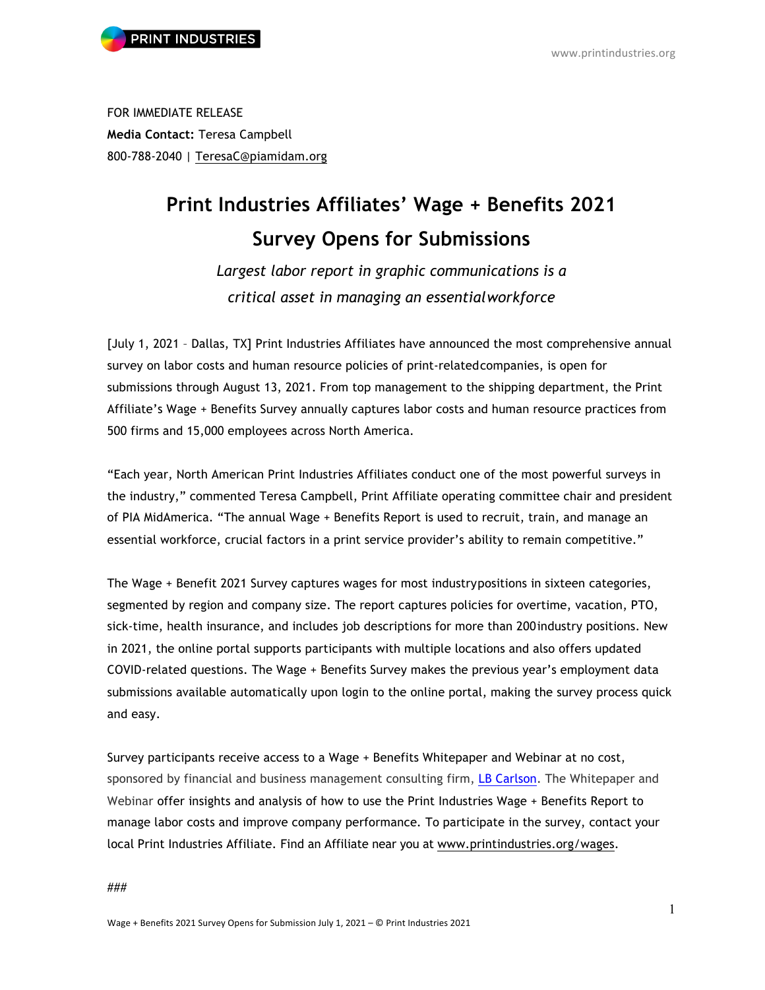FOR IMMEDIATE RELEASE **Media Contact:** Teresa Campbell 800-788-2040 | TeresaC@piamidam.org

## **Print Industries Affiliates' Wage + Benefits 2021 Survey Opens for Submissions**

*Largest labor report in graphic communications is a critical asset in managing an essentialworkforce*

[July 1, 2021 – Dallas, TX] Print Industries Affiliates have announced the most comprehensive annual survey on labor costs and human resource policies of print-relatedcompanies, is open for submissions through August 13, 2021. From top management to the shipping department, the Print Affiliate's Wage + Benefits Survey annually captures labor costs and human resource practices from 500 firms and 15,000 employees across North America.

"Each year, North American Print Industries Affiliates conduct one of the most powerful surveys in the industry," commented Teresa Campbell, Print Affiliate operating committee chair and president of PIA MidAmerica. "The annual Wage + Benefits Report is used to recruit, train, and manage an essential workforce, crucial factors in a print service provider's ability to remain competitive."

The Wage + Benefit 2021 Survey captures wages for most industrypositions in sixteen categories, segmented by region and company size. The report captures policies for overtime, vacation, PTO, sick-time, health insurance, and includes job descriptions for more than 200industry positions. New in 2021, the online portal supports participants with multiple locations and also offers updated COVID-related questions. The Wage + Benefits Survey makes the previous year's employment data submissions available automatically upon login to the online portal, making the survey process quick and easy.

Survey participants receive access to a Wage + Benefits Whitepaper and Webinar at no cost, sponsored by financial and business management consulting firm, LB Carlson. The Whitepaper and Webinar offer insights and analysis of how to use the Print Industries Wage + Benefits Report to manage labor costs and improve company performance*.* To participate in the survey, contact your local Print Industries Affiliate. Find an Affiliate near you at www.printindustries.org/wages.

###